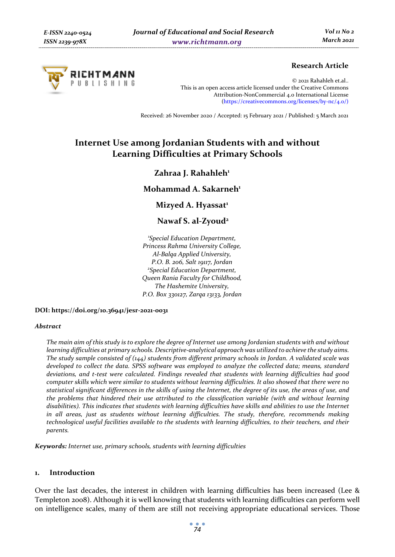

# **Research Article**

© 2021 Rahahleh et.al.. This is an open access article licensed under the Creative Commons Attribution-NonCommercial 4.0 International License (https://creativecommons.org/licenses/by-nc/4.0/)

Received: 26 November 2020 / Accepted: 15 February 2021 / Published: 5 March 2021

# **Internet Use among Jordanian Students with and without Learning Difficulties at Primary Schools**

# Zahraa J. Rahahleh<sup>1</sup>

# **Mohammad A. Sakarneh1**

**Mizyed A. Hyassat**<sup>1</sup>

**Nawaf S. al-Zyoud2**

*1 Special Education Department, Princess Rahma University College, Al-Balqa Applied University, P.O. B. 206, Salt 19117, Jordan 2 Special Education Department, Queen Rania Faculty for Childhood, The Hashemite University, P.O. Box 330127, Zarqa 13133, Jordan* 

**DOI: https://doi.org/10.36941/jesr-2021-0031** 

#### *Abstract*

*The main aim of this study is to explore the degree of Internet use among Jordanian students with and without learning difficulties at primary schools. Descriptive-analytical approach was utilized to achieve the study aims. The study sample consisted of (144) students from different primary schools in Jordan. A validated scale was developed to collect the data. SPSS software was employed to analyze the collected data; means, standard deviations, and t-test were calculated. Findings revealed that students with learning difficulties had good computer skills which were similar to students without learning difficulties. It also showed that there were no statistical significant differences in the skills of using the Internet, the degree of its use, the areas of use, and the problems that hindered their use attributed to the classification variable (with and without learning*  disabilities). This indicates that students with learning difficulties have skills and abilities to use the Internet *in all areas, just as students without learning difficulties. The study, therefore, recommends making technological useful facilities available to the students with learning difficulties, to their teachers, and their parents.* 

*Keywords: Internet use, primary schools, students with learning difficulties* 

### **1. Introduction**

Over the last decades, the interest in children with learning difficulties has been increased (Lee & Templeton 2008). Although it is well knowing that students with learning difficulties can perform well on intelligence scales, many of them are still not receiving appropriate educational services. Those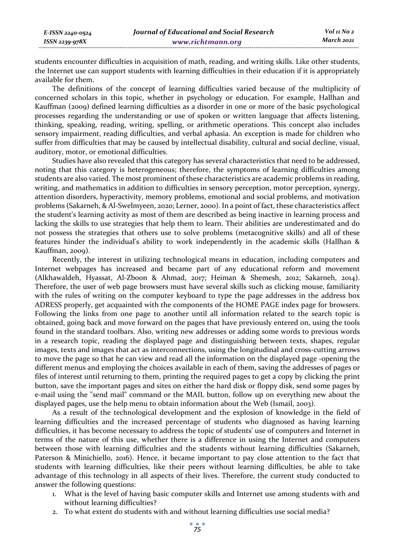students encounter difficulties in acquisition of math, reading, and writing skills. Like other students, the Internet use can support students with learning difficulties in their education if it is appropriately available for them.

The definitions of the concept of learning difficulties varied because of the multiplicity of concerned scholars in this topic, whether in psychology or education. For example, Hallhan and Kauffman (2009) defined learning difficulties as a disorder in one or more of the basic psychological processes regarding the understanding or use of spoken or written language that affects listening, thinking, speaking, reading, writing, spelling, or arithmetic operations. This concept also includes sensory impairment, reading difficulties, and verbal aphasia. An exception is made for children who suffer from difficulties that may be caused by intellectual disability, cultural and social decline, visual, auditory, motor, or emotional difficulties.

Studies have also revealed that this category has several characteristics that need to be addressed, noting that this category is heterogeneous; therefore, the symptoms of learning difficulties among students are also varied. The most prominent of these characteristics are academic problems in reading, writing, and mathematics in addition to difficulties in sensory perception, motor perception, synergy, attention disorders, hyperactivity, memory problems, emotional and social problems, and motivation problems (Sakarneh, & Al-Swelmyeen, 2020; Lerner, 2000). In a point of fact, these characteristics affect the student's learning activity as most of them are described as being inactive in learning process and lacking the skills to use strategies that help them to learn. Their abilities are underestimated and do not possess the strategies that others use to solve problems (metacognitive skills) and all of these features hinder the individual's ability to work independently in the academic skills (Hallhan & Kauffman, 2009).

Recently, the interest in utilizing technological means in education, including computers and Internet webpages has increased and became part of any educational reform and movement (Alkhawaldeh, Hyassat, Al-Zboon & Ahmad, 2017; Heiman & Shemesh, 2012; Sakarneh, 2014). Therefore, the user of web page browsers must have several skills such as clicking mouse, familiarity with the rules of writing on the computer keyboard to type the page addresses in the address box ADRESS properly, get acquainted with the components of the HOME PAGE index page for browsers. Following the links from one page to another until all information related to the search topic is obtained, going back and move forward on the pages that have previously entered on, using the tools found in the standard toolbars. Also, writing new addresses or adding some words to previous words in a research topic, reading the displayed page and distinguishing between texts, shapes, regular images, texts and images that act as interconnections, using the longitudinal and cross-cutting arrows to move the page so that he can view and read all the information on the displayed page -opening the different menus and employing the choices available in each of them, saving the addresses of pages or files of interest until returning to them, printing the required pages to get a copy by clicking the print button, save the important pages and sites on either the hard disk or floppy disk, send some pages by e-mail using the "send mail" command or the MAIL button, follow up on everything new about the displayed pages, use the help menu to obtain information about the Web (Ismail, 2003).

As a result of the technological development and the explosion of knowledge in the field of learning difficulties and the increased percentage of students who diagnosed as having learning difficulties, it has become necessary to address the topic of students' use of computers and Internet in terms of the nature of this use, whether there is a difference in using the Internet and computers between those with learning difficulties and the students without learning difficulties (Sakarneh, Paterson & Minichiello, 2016). Hence, it became important to pay close attention to the fact that students with learning difficulties, like their peers without learning difficulties, be able to take advantage of this technology in all aspects of their lives. Therefore, the current study conducted to answer the following questions:

- 1. What is the level of having basic computer skills and Internet use among students with and without learning difficulties?
- 2. To what extent do students with and without learning difficulties use social media?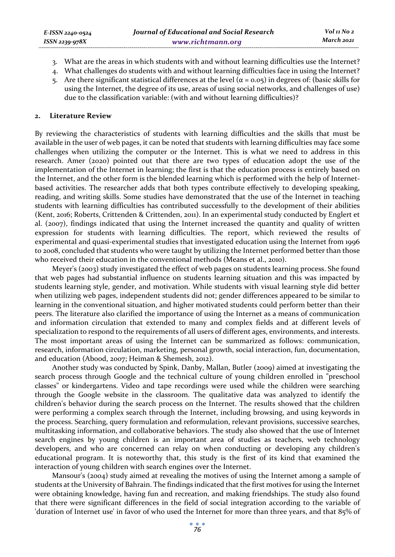- 3. What are the areas in which students with and without learning difficulties use the Internet?
- 4. What challenges do students with and without learning difficulties face in using the Internet?
- 5. Are there significant statistical differences at the level ( $α = 0.05$ ) in degrees of: (basic skills for using the Internet, the degree of its use, areas of using social networks, and challenges of use) due to the classification variable: (with and without learning difficulties)?

### **2. Literature Review**

By reviewing the characteristics of students with learning difficulties and the skills that must be available in the user of web pages, it can be noted that students with learning difficulties may face some challenges when utilizing the computer or the Internet. This is what we need to address in this research. Amer (2020) pointed out that there are two types of education adopt the use of the implementation of the Internet in learning; the first is that the education process is entirely based on the Internet, and the other form is the blended learning which is performed with the help of Internetbased activities. The researcher adds that both types contribute effectively to developing speaking, reading, and writing skills. Some studies have demonstrated that the use of the Internet in teaching students with learning difficulties has contributed successfully to the development of their abilities (Kent, 2016; Roberts, Crittenden & Crittenden, 2011). In an experimental study conducted by Englert et al. (2007), findings indicated that using the Internet increased the quantity and quality of written expression for students with learning difficulties. The report, which reviewed the results of experimental and quasi-experimental studies that investigated education using the Internet from 1996 to 2008, concluded that students who were taught by utilizing the Internet performed better than those who received their education in the conventional methods (Means et al., 2010).

Meyer's (2003) study investigated the effect of web pages on students learning process. She found that web pages had substantial influence on students learning situation and this was impacted by students learning style, gender, and motivation. While students with visual learning style did better when utilizing web pages, independent students did not; gender differences appeared to be similar to learning in the conventional situation, and higher motivated students could perform better than their peers. The literature also clarified the importance of using the Internet as a means of communication and information circulation that extended to many and complex fields and at different levels of specialization to respond to the requirements of all users of different ages, environments, and interests. The most important areas of using the Internet can be summarized as follows: communication, research, information circulation, marketing, personal growth, social interaction, fun, documentation, and education (Abood, 2007; Heiman & Shemesh, 2012).

Another study was conducted by Spink, Danby, Mallan, Butler (2009) aimed at investigating the search process through Google and the technical culture of young children enrolled in "preschool classes" or kindergartens. Video and tape recordings were used while the children were searching through the Google website in the classroom. The qualitative data was analyzed to identify the children's behavior during the search process on the Internet. The results showed that the children were performing a complex search through the Internet, including browsing, and using keywords in the process. Searching, query formulation and reformulation, relevant provisions, successive searches, multitasking information, and collaborative behaviors. The study also showed that the use of Internet search engines by young children is an important area of studies as teachers, web technology developers, and who are concerned can relay on when conducting or developing any children's educational program. It is noteworthy that, this study is the first of its kind that examined the interaction of young children with search engines over the Internet.

Mansour's (2004) study aimed at revealing the motives of using the Internet among a sample of students at the University of Bahrain. The findings indicated that the first motives for using the Internet were obtaining knowledge, having fun and recreation, and making friendships. The study also found that there were significant differences in the field of social integration according to the variable of 'duration of Internet use' in favor of who used the Internet for more than three years, and that 85% of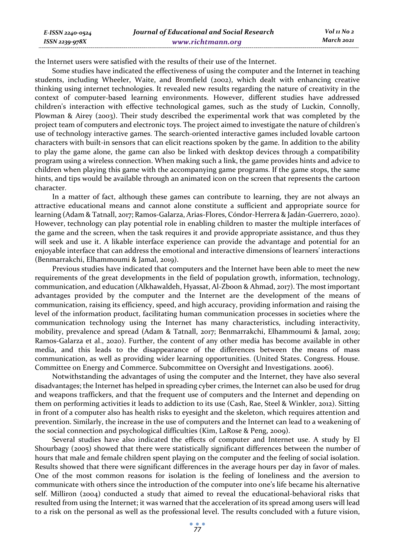the Internet users were satisfied with the results of their use of the Internet.

*E-ISSN 2240-0524 ISSN 2239-978X*

Some studies have indicated the effectiveness of using the computer and the Internet in teaching students, including Wheeler, Waite, and Bromfield (2002), which dealt with enhancing creative thinking using internet technologies. It revealed new results regarding the nature of creativity in the context of computer-based learning environments. However, different studies have addressed children's interaction with effective technological games, such as the study of Luckin, Connolly, Plowman & Airey (2003). Their study described the experimental work that was completed by the project team of computers and electronic toys. The project aimed to investigate the nature of children's use of technology interactive games. The search-oriented interactive games included lovable cartoon characters with built-in sensors that can elicit reactions spoken by the game. In addition to the ability to play the game alone, the game can also be linked with desktop devices through a compatibility program using a wireless connection. When making such a link, the game provides hints and advice to children when playing this game with the accompanying game programs. If the game stops, the same hints, and tips would be available through an animated icon on the screen that represents the cartoon character.

In a matter of fact, although these games can contribute to learning, they are not always an attractive educational means and cannot alone constitute a sufficient and appropriate source for learning (Adam & Tatnall, 2017; Ramos-Galarza, Arias-Flores, Cóndor-Herrera & Jadán-Guerrero, 2020). However, technology can play potential role in enabling children to master the multiple interfaces of the game and the screen, when the task requires it and provide appropriate assistance, and thus they will seek and use it. A likable interface experience can provide the advantage and potential for an enjoyable interface that can address the emotional and interactive dimensions of learners' interactions (Benmarrakchi, Elhammoumi & Jamal, 2019).

Previous studies have indicated that computers and the Internet have been able to meet the new requirements of the great developments in the field of population growth, information, technology, communication, and education (Alkhawaldeh, Hyassat, Al-Zboon & Ahmad, 2017). The most important advantages provided by the computer and the Internet are the development of the means of communication, raising its efficiency, speed, and high accuracy, providing information and raising the level of the information product, facilitating human communication processes in societies where the communication technology using the Internet has many characteristics, including interactivity, mobility, prevalence and spread (Adam & Tatnall, 2017; Benmarrakchi, Elhammoumi & Jamal, 2019; Ramos-Galarza et al., 2020). Further, the content of any other media has become available in other media, and this leads to the disappearance of the differences between the means of mass communication, as well as providing wider learning opportunities. (United States. Congress. House. Committee on Energy and Commerce. Subcommittee on Oversight and Investigations. 2006).

Notwithstanding the advantages of using the computer and the Internet, they have also several disadvantages; the Internet has helped in spreading cyber crimes, the Internet can also be used for drug and weapons traffickers, and that the frequent use of computers and the Internet and depending on them on performing activities it leads to addiction to its use (Cash, Rae, Steel & Winkler, 2012). Sitting in front of a computer also has health risks to eyesight and the skeleton, which requires attention and prevention. Similarly, the increase in the use of computers and the Internet can lead to a weakening of the social connection and psychological difficulties (Kim, LaRose & Peng, 2009).

Several studies have also indicated the effects of computer and Internet use. A study by El Shourbagy (2005) showed that there were statistically significant differences between the number of hours that male and female children spent playing on the computer and the feeling of social isolation. Results showed that there were significant differences in the average hours per day in favor of males. One of the most common reasons for isolation is the feeling of loneliness and the aversion to communicate with others since the introduction of the computer into one's life became his alternative self. Milliron (2004) conducted a study that aimed to reveal the educational-behavioral risks that resulted from using the Internet; it was warned that the acceleration of its spread among users will lead to a risk on the personal as well as the professional level. The results concluded with a future vision,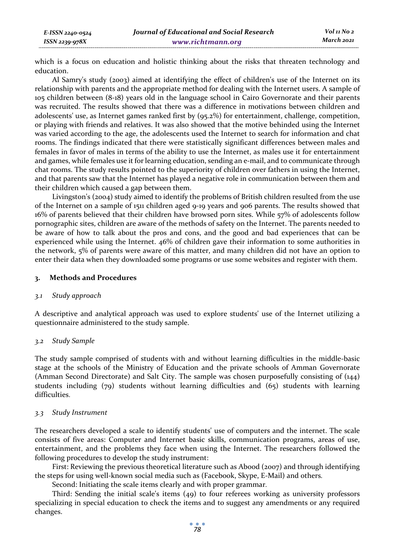which is a focus on education and holistic thinking about the risks that threaten technology and education.

Al Samry's study (2003) aimed at identifying the effect of children's use of the Internet on its relationship with parents and the appropriate method for dealing with the Internet users. A sample of 105 children between (8-18) years old in the language school in Cairo Governorate and their parents was recruited. The results showed that there was a difference in motivations between children and adolescents' use, as Internet games ranked first by (95.2%) for entertainment, challenge, competition, or playing with friends and relatives. It was also showed that the motive behinded using the Internet was varied according to the age, the adolescents used the Internet to search for information and chat rooms. The findings indicated that there were statistically significant differences between males and females in favor of males in terms of the ability to use the Internet, as males use it for entertainment and games, while females use it for learning education, sending an e-mail, and to communicate through chat rooms. The study results pointed to the superiority of children over fathers in using the Internet, and that parents saw that the Internet has played a negative role in communication between them and their children which caused a gap between them.

Livingston's (2004) study aimed to identify the problems of British children resulted from the use of the Internet on a sample of 1511 children aged 9-19 years and 906 parents. The results showed that 16% of parents believed that their children have browsed porn sites. While 57% of adolescents follow pornographic sites, children are aware of the methods of safety on the Internet. The parents needed to be aware of how to talk about the pros and cons, and the good and bad experiences that can be experienced while using the Internet. 46% of children gave their information to some authorities in the network, 5% of parents were aware of this matter, and many children did not have an option to enter their data when they downloaded some programs or use some websites and register with them.

### **3. Methods and Procedures**

#### *3.1 Study approach*

*E-ISSN 2240-0524 ISSN 2239-978X*

A descriptive and analytical approach was used to explore students' use of the Internet utilizing a questionnaire administered to the study sample.

#### *3.2 Study Sample*

The study sample comprised of students with and without learning difficulties in the middle-basic stage at the schools of the Ministry of Education and the private schools of Amman Governorate (Amman Second Directorate) and Salt City. The sample was chosen purposefully consisting of (144) students including (79) students without learning difficulties and (65) students with learning difficulties.

#### *3.3 Study Instrument*

The researchers developed a scale to identify students' use of computers and the internet. The scale consists of five areas: Computer and Internet basic skills, communication programs, areas of use, entertainment, and the problems they face when using the Internet. The researchers followed the following procedures to develop the study instrument:

First: Reviewing the previous theoretical literature such as Abood (2007) and through identifying the steps for using well-known social media such as (Facebook, Skype, E-Mail) and others.

Second: Initiating the scale items clearly and with proper grammar.

Third: Sending the initial scale's items (49) to four referees working as university professors specializing in special education to check the items and to suggest any amendments or any required changes.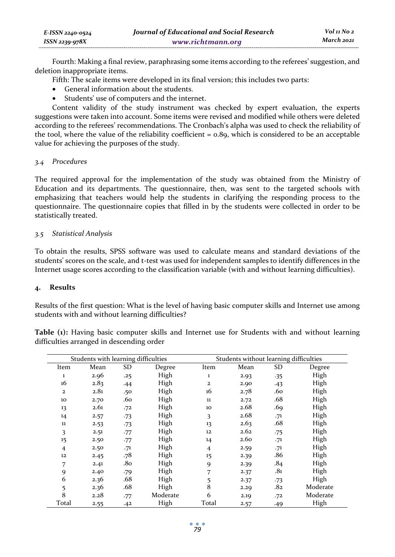| E-ISSN 2240-0524 | Journal of Educational and Social Research | Vol 11 No 2 |
|------------------|--------------------------------------------|-------------|
| ISSN 2239-978X   | www.richtmann.org                          | March 2021  |

Fourth: Making a final review, paraphrasing some items according to the referees' suggestion, and deletion inappropriate items.

Fifth: The scale items were developed in its final version; this includes two parts:

- General information about the students.
- Students' use of computers and the internet.

Content validity of the study instrument was checked by expert evaluation, the experts suggestions were taken into account. Some items were revised and modified while others were deleted according to the referees' recommendations. The Cronbach's alpha was used to check the reliability of the tool, where the value of the reliability coefficient  $= 0.89$ , which is considered to be an acceptable value for achieving the purposes of the study.

#### *3.4 Procedures*

The required approval for the implementation of the study was obtained from the Ministry of Education and its departments. The questionnaire, then, was sent to the targeted schools with emphasizing that teachers would help the students in clarifying the responding process to the questionnaire. The questionnaire copies that filled in by the students were collected in order to be statistically treated.

# *3.5 Statistical Analysis*

To obtain the results, SPSS software was used to calculate means and standard deviations of the students' scores on the scale, and t-test was used for independent samples to identify differences in the Internet usage scores according to the classification variable (with and without learning difficulties).

#### **4. Results**

Results of the first question: What is the level of having basic computer skills and Internet use among students with and without learning difficulties?

**Table (1):** Having basic computer skills and Internet use for Students with and without learning difficulties arranged in descending order

| Students with learning difficulties |      |           | Students without learning difficulties |                |      |       |          |
|-------------------------------------|------|-----------|----------------------------------------|----------------|------|-------|----------|
| Item                                | Mean | <b>SD</b> | Degree                                 | Item           | Mean | SD    | Degree   |
| $\mathbf{1}$                        | 2.96 | .25       | High                                   | $\mathbf 1$    | 2.93 | $-35$ | High     |
| 16                                  | 2.83 | .44       | High                                   | $\mathbf{2}$   | 2.90 | $-43$ | High     |
| $\mathbf{z}$                        | 2.81 | .50       | High                                   | 16             | 2.78 | .60   | High     |
| 10                                  | 2.70 | .60       | High                                   | 11             | 2.72 | .68   | High     |
| 13                                  | 2.61 | .72       | High                                   | 10             | 2.68 | .69   | High     |
| 14                                  | 2.57 | $-73$     | High                                   | 3              | 2.68 | .71   | High     |
| $11\,$                              | 2.53 | $-73$     | High                                   | 13             | 2.63 | .68   | High     |
| 3                                   | 2.51 | .77       | High                                   | 12             | 2.62 | $-75$ | High     |
| 15                                  | 2.50 | .77       | High                                   | 14             | 2.60 | .71   | High     |
| $\overline{4}$                      | 2.50 | $-71$     | High                                   | $\overline{4}$ | 2.59 | .71   | High     |
| 12                                  | 2.45 | .78       | High                                   | 15             | 2.39 | .86   | High     |
| 7                                   | 2.41 | .80       | High                                   | 9              | 2.39 | .84   | High     |
| 9                                   | 2.40 | .79       | High                                   | 7              | 2.37 | .81   | High     |
| 6                                   | 2.36 | .68       | High                                   | 5              | 2.37 | $-73$ | High     |
| 5                                   | 2.36 | .68       | High                                   | 8              | 2.29 | .82   | Moderate |
| 8                                   | 2.28 | .77       | Moderate                               | 6              | 2.19 | .72   | Moderate |
| Total                               | 2.55 | .42       | High                                   | Total          | 2.57 | .49   | High     |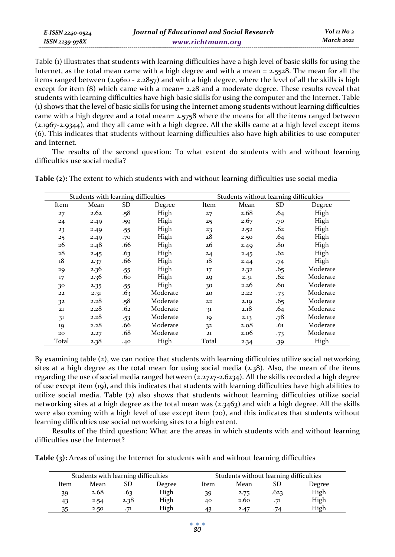| E-ISSN 2240-0524    | Journal of Educational and Social Research | Vol 11 No 2 |
|---------------------|--------------------------------------------|-------------|
| $ISSN$ 2239-97 $8X$ | www.richtmann.org                          | March 2021  |

Table (1) illustrates that students with learning difficulties have a high level of basic skills for using the Internet, as the total mean came with a high degree and with a mean = 2.5528. The mean for all the items ranged between  $(2.9610 - 2.2857)$  and with a high degree, where the level of all the skills is high except for item (8) which came with a mean= 2.28 and a moderate degree. These results reveal that students with learning difficulties have high basic skills for using the computer and the Internet. Table (1) shows that the level of basic skills for using the Internet among students without learning difficulties came with a high degree and a total mean= 2.5758 where the means for all the items ranged between (2.1967-2.9344), and they all came with a high degree. All the skills came at a high level except items (6). This indicates that students without learning difficulties also have high abilities to use computer and Internet.

The results of the second question: To what extent do students with and without learning difficulties use social media?

| Students with learning difficulties |      |     | Students without learning difficulties |       |            |       |          |
|-------------------------------------|------|-----|----------------------------------------|-------|------------|-------|----------|
| Item                                | Mean | SD  | Degree                                 | Item  | SD<br>Mean |       | Degree   |
| 27                                  | 2.62 | .58 | High                                   | 27    | 2.68       | .64   | High     |
| 24                                  | 2.49 | .59 | High                                   | 25    | 2.67       | .70   | High     |
| 23                                  | 2.49 | .55 | High                                   | 23    | 2.52       | .62   | High     |
| 25                                  | 2.49 | .70 | High                                   | 28    | 2.50       | .64   | High     |
| 26                                  | 2.48 | .66 | High                                   | 26    | 2.49       | .80   | High     |
| 28                                  | 2.45 | .63 | High                                   | 24    | 2.45       | .62   | High     |
| 18                                  | 2.37 | .66 | High                                   | 18    | 2.44       | $-74$ | High     |
| 29                                  | 2.36 | .55 | High                                   | 17    | 2.32       | .65   | Moderate |
| 17                                  | 2.36 | .60 | High                                   | 29    | 2.31       | .62   | Moderate |
| 30                                  | 2.35 | .55 | High                                   | 30    | 2.26       | .60   | Moderate |
| 22                                  | 2.31 | .63 | Moderate                               | 20    | 2.22       | $-73$ | Moderate |
| 32                                  | 2.28 | .58 | Moderate                               | 22    | 2.19       | .65   | Moderate |
| 21                                  | 2.28 | .62 | Moderate                               | 31    | 2.18       | .64   | Moderate |
| 31                                  | 2.28 | .53 | Moderate                               | 19    | 2.13       | .78   | Moderate |
| 19                                  | 2.28 | .66 | Moderate                               | 32    | 2.08       | .61   | Moderate |
| 20                                  | 2.27 | .68 | Moderate                               | 21    | 2.06       | $-73$ | Moderate |
| Total                               | 2.38 | .40 | High                                   | Total | 2.34       | $-39$ | High     |

**Table (2):** The extent to which students with and without learning difficulties use social media

By examining table (2), we can notice that students with learning difficulties utilize social networking sites at a high degree as the total mean for using social media  $(2.38)$ . Also, the mean of the items regarding the use of social media ranged between (2.2727-2.6234). All the skills recorded a high degree of use except item (19), and this indicates that students with learning difficulties have high abilities to utilize social media. Table (2) also shows that students without learning difficulties utilize social networking sites at a high degree as the total mean was (2.3463) and with a high degree. All the skills were also coming with a high level of use except item (20), and this indicates that students without learning difficulties use social networking sites to a high extent.

Results of the third question: What are the areas in which students with and without learning difficulties use the Internet?

| Table (3): Areas of using the Internet for students with and without learning difficulties |
|--------------------------------------------------------------------------------------------|
|--------------------------------------------------------------------------------------------|

| Students with learning difficulties |      |      |        | Students without learning difficulties |      |      |        |  |
|-------------------------------------|------|------|--------|----------------------------------------|------|------|--------|--|
| ltem                                | Mean | SD   | Degree | ltem                                   | Mean | SD   | Degree |  |
| 39                                  | 2.68 | .63  | High   | 39                                     | 2.75 | .623 | High   |  |
| 43                                  | 2.54 | 2.38 | High   | 40                                     | 2.60 | .71  | High   |  |
| 25                                  | 2.50 | .71  | High   | 43                                     | 2.47 | .74  | High   |  |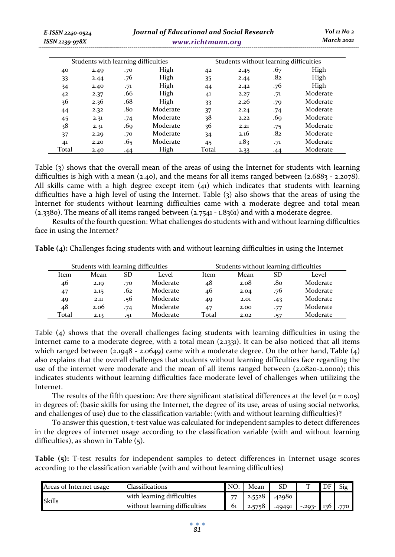| E-ISSN 2240-0524<br>ISSN 2239-978X |      |                                     | <b>Journal of Educational and Social Research</b> | www.richtmann.org |                                        |       | Vol 11 No 2<br>March 2021 |
|------------------------------------|------|-------------------------------------|---------------------------------------------------|-------------------|----------------------------------------|-------|---------------------------|
|                                    |      | Students with learning difficulties |                                                   |                   | Students without learning difficulties |       |                           |
| 40                                 | 2.49 | .70                                 | High                                              | 42                | 2.45                                   | .67   | High                      |
| 33                                 | 2.44 | .76                                 | High                                              | 35                | 2.44                                   | .82   | High                      |
| 34                                 | 2.40 | .71                                 | High                                              | 44                | 2.42                                   | .76   | High                      |
| 42                                 | 2.37 | .66                                 | High                                              | 41                | 2.27                                   | .71   | Moderate                  |
| 36                                 | 2.36 | .68                                 | High                                              | 33                | 2.26                                   | .79   | Moderate                  |
| 44                                 | 2.32 | .80                                 | Moderate                                          | 37                | 2.24                                   | $-74$ | Moderate                  |
| 45                                 | 2.31 | .74                                 | Moderate                                          | 38                | 2.22                                   | .69   | Moderate                  |
| 38                                 | 2.31 | .69                                 | Moderate                                          | 36                | 2.21                                   | .75   | Moderate                  |
| 37                                 | 2.29 | .70                                 | Moderate                                          | 34                | 2.16                                   | .82   | Moderate                  |

Table (3) shows that the overall mean of the areas of using the Internet for students with learning difficulties is high with a mean (2.40), and the means for all items ranged between (2.6883 - 2.2078). All skills came with a high degree except item  $(41)$  which indicates that students with learning difficulties have a high level of using the Internet. Table (3) also shows that the areas of using the Internet for students without learning difficulties came with a moderate degree and total mean  $(2.3380)$ . The means of all items ranged between  $(2.7541 - 1.8361)$  and with a moderate degree.

41 2.20 .65 Moderate 45 1.83 .71 Moderate Total 2.40 .44 High Total 2.33 .44 Moderate

Results of the fourth question: What challenges do students with and without learning difficulties face in using the Internet?

**Table (4):** Challenges facing students with and without learning difficulties in using the Internet

| Students with learning difficulties |      |     |          | Students without learning difficulties |       |     |          |
|-------------------------------------|------|-----|----------|----------------------------------------|-------|-----|----------|
| Item                                | Mean | SD  | Level    | Item                                   | Level |     |          |
| 46                                  | 2.19 | .70 | Moderate | 48                                     | 2.08  | .80 | Moderate |
| 47                                  | 2.15 | .62 | Moderate | 46                                     | 2.04  | .76 | Moderate |
| 49                                  | 2.11 | .56 | Moderate | 49                                     | 2.01  | .43 | Moderate |
| 48                                  | 2.06 | .74 | Moderate | 47                                     | 2.00  | .77 | Moderate |
| Total                               | 2.13 | .51 | Moderate | Total                                  | 2.02  | .57 | Moderate |

Table (4) shows that the overall challenges facing students with learning difficulties in using the Internet came to a moderate degree, with a total mean (2.1331). It can be also noticed that all items which ranged between (2.1948 - 2.0649) came with a moderate degree. On the other hand, Table (4) also explains that the overall challenges that students without learning difficulties face regarding the use of the internet were moderate and the mean of all items ranged between (2.0820-2.0000); this indicates students without learning difficulties face moderate level of challenges when utilizing the Internet.

The results of the fifth question: Are there significant statistical differences at the level ( $\alpha$  = 0.05) in degrees of: (basic skills for using the Internet, the degree of its use, areas of using social networks, and challenges of use) due to the classification variable: (with and without learning difficulties)?

To answer this question, t-test value was calculated for independent samples to detect differences in the degrees of internet usage according to the classification variable (with and without learning difficulties), as shown in Table (5).

**Table (5):** T-test results for independent samples to detect differences in Internet usage scores according to the classification variable (with and without learning difficulties)

| Areas of Internet usage | Classifications               | <b>NO</b>      | Mean   | SD     |                      | DF | Si <sub>g</sub> |
|-------------------------|-------------------------------|----------------|--------|--------|----------------------|----|-----------------|
| Skills                  | with learning difficulties    | $\overline{ }$ | 2.5528 | .42980 |                      |    |                 |
|                         | without learning difficulties | 61             | 2.5758 | .49491 | $-0.293 - 136$ . 770 |    |                 |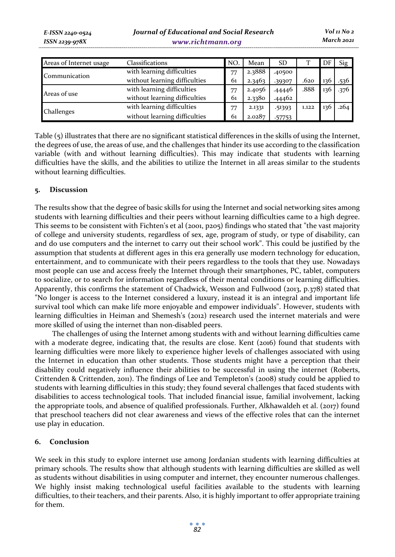| Areas of Internet usage | Classifications               | <b>NO</b> | Mean            | SD     |       | DF  | Sig  |
|-------------------------|-------------------------------|-----------|-----------------|--------|-------|-----|------|
| Communication           | with learning difficulties    | 77        | 2.3888          | .40500 |       |     |      |
|                         | without learning difficulties | 61        | 2.3463          | .39307 | .620  | 130 | .536 |
| Areas of use            | with learning difficulties    | 77        | 2.4056          | .44446 | .888  | 136 | .376 |
|                         | without learning difficulties | 61        | 2.3380          | .44462 |       |     |      |
| Challenges              | with learning difficulties    | 77        | 2.1331          | .51393 | 1.122 | 136 | .264 |
|                         | without learning difficulties | 61        | 2.0287<br>57753 |        |       |     |      |

Table (5) illustrates that there are no significant statistical differences in the skills of using the Internet, the degrees of use, the areas of use, and the challenges that hinder its use according to the classification variable (with and without learning difficulties). This may indicate that students with learning difficulties have the skills, and the abilities to utilize the Internet in all areas similar to the students without learning difficulties.

# **5. Discussion**

The results show that the degree of basic skills for using the Internet and social networking sites among students with learning difficulties and their peers without learning difficulties came to a high degree. This seems to be consistent with Fichten's et al (2001, p205) findings who stated that "the vast majority of college and university students, regardless of sex, age, program of study, or type of disability, can and do use computers and the internet to carry out their school work". This could be justified by the assumption that students at different ages in this era generally use modern technology for education, entertainment, and to communicate with their peers regardless to the tools that they use. Nowadays most people can use and access freely the Internet through their smartphones, PC, tablet, computers to socialize, or to search for information regardless of their mental conditions or learning difficulties. Apparently, this confirms the statement of Chadwick, Wesson and Fullwood (2013, p.378) stated that "No longer is access to the Internet considered a luxury, instead it is an integral and important life survival tool which can make life more enjoyable and empower individuals". However, students with learning difficulties in Heiman and Shemesh's (2012) research used the internet materials and were more skilled of using the internet than non-disabled peers.

The challenges of using the Internet among students with and without learning difficulties came with a moderate degree, indicating that, the results are close. Kent (2016) found that students with learning difficulties were more likely to experience higher levels of challenges associated with using the Internet in education than other students. Those students might have a perception that their disability could negatively influence their abilities to be successful in using the internet (Roberts, Crittenden & Crittenden, 2011). The findings of Lee and Templeton's (2008) study could be applied to students with learning difficulties in this study; they found several challenges that faced students with disabilities to access technological tools. That included financial issue, familial involvement, lacking the appropriate tools, and absence of qualified professionals. Further, Alkhawaldeh et al. (2017) found that preschool teachers did not clear awareness and views of the effective roles that can the internet use play in education.

# **6. Conclusion**

We seek in this study to explore internet use among Jordanian students with learning difficulties at primary schools. The results show that although students with learning difficulties are skilled as well as students without disabilities in using computer and internet, they encounter numerous challenges. We highly insist making technological useful facilities available to the students with learning difficulties, to their teachers, and their parents. Also, it is highly important to offer appropriate training for them.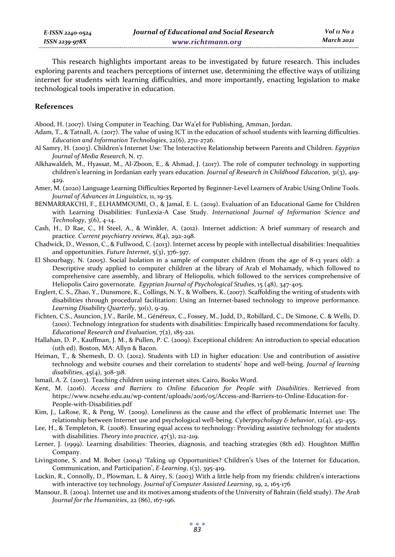This research highlights important areas to be investigated by future research. This includes exploring parents and teachers perceptions of internet use, determining the effective ways of utilizing internet for students with learning difficulties, and more importantly, enacting legislation to make technological tools imperative in education.

### **References**

Abood, H. (2007). Using Computer in Teaching. Dar Wa'el for Publishing, Amman, Jordan.

- Adam, T., & Tatnall, A. (2017). The value of using ICT in the education of school students with learning difficulties. *Education and Information Technologies*, 22(6), 2711-2726.
- Al Samry, H. (2003). Children's Internet Use: The Interactive Relationship between Parents and Children. *Egyptian Journal of Media Research*, N. 17.
- Alkhawaldeh, M., Hyassat, M., Al-Zboon, E., & Ahmad, J. (2017). The role of computer technology in supporting children's learning in Jordanian early years education. *Journal of Research in Childhood Education*, 31(3), 419- 429.
- Amer, M. (2020) Language Learning Difficulties Reported by Beginner-Level Learners of Arabic Using Online Tools. *Journal of Advances in Linguistics*, 11, 19-35.
- BENMARRAKCHI, F., ELHAMMOUMI, O., & Jamal, E. L. (2019). Evaluation of an Educational Game for Children with Learning Disabilities: FunLexia-A Case Study. *International Journal of Information Science and Technology*, 3(6), 4-14.
- Cash, H., D Rae, C., H Steel, A., & Winkler, A. (2012). Internet addiction: A brief summary of research and practice. *Current psychiatry reviews*, *8*(4), 292-298.
- Chadwick, D., Wesson, C., & Fullwood, C. (2013). Internet access by people with intellectual disabilities: Inequalities and opportunities. *Future Internet*, 5(3), 376-397.
- El Shourbagy, N. (2005). Social Isolation in a sample of computer children (from the age of 8-13 years old): a Descriptive study applied to computer children at the library of Arab el Mohamady, which followed to comprehensive care assembly, and library of Heliopolis, which followed to the services comprehensive of Heliopolis Cairo governorate. *Egyptian Journal of Psychological Studies*, 15 (48), 347-405.
- Englert, C. S., Zhao, Y., Dunsmore, K., Collings, N. Y., & Wolbers, K. (2007). Scaffolding the writing of students with disabilities through procedural facilitation: Using an Internet-based technology to improve performance. Learning Disability Quarterly, 30(1), 9-29.
- Fichten, C.S., Asuncion, J.V., Barile, M., Généreux, C., Fossey, M., Judd, D., Robillard, C., De Simone, C. & Wells, D. (2001). Technology integration for students with disabilities: Empirically based recommendations for faculty. *Educational Research and Evaluation*, 7(2), 185-221.
- Hallahan, D. P., Kauffman, J. M., & Pullen, P. C. (2009). Exceptional children: An introduction to special education (11th ed). Boston, MA: Allyn & Bacon.
- Heiman, T., & Shemesh, D. O. (2012). Students with LD in higher education: Use and contribution of assistive technology and website courses and their correlation to students' hope and well-being. *Journal of learning disabilities*, 45(4), 308-318.
- Ismail, A. Z. (2003). Teaching children using internet sites. Cairo, Books Word.
- Kent, M. (2016). *Access and Barriers to Online Education for People with Disabilities*. Retrieved from https://www.ncsehe.edu.au/wp-content/uploads/2016/05/Access-and-Barriers-to-Online-Education-for-People-with-Disabilities.pdf
- Kim, J., LaRose, R., & Peng, W. (2009). Loneliness as the cause and the effect of problematic Internet use: The relationship between Internet use and psychological well-being. *Cyberpsychology & behavior*, 12(4), 451-455.
- Lee, H., & Templeton, R. (2008). Ensuring equal access to technology: Providing assistive technology for students with disabilities. *Theory into practice*, 47(3), 212-219.
- Lerner, J. (1999). Learning disabilities: Theories, diagnosis, and teaching strategies (8th ed). Houghton Mifflin Company.
- Livingstone, S. and M. Bober (2004) 'Taking up Opportunities? Children's Uses of the Internet for Education, Communication, and Participation', *E-Learning*, 1(3), 395-419.
- Luckin, R., Connolly, D., Plowman, L. & Airey, S. (2003) With a little help from my friends: children's interactions with interactive toy technology. *Journal of Computer Assisted Learning*, 19, 2, 165-176
- Mansour, B. (2004). Internet use and its motives among students of the University of Bahrain (field study). *The Arab Journal for the Humanities*, 22 (86), 167-196.